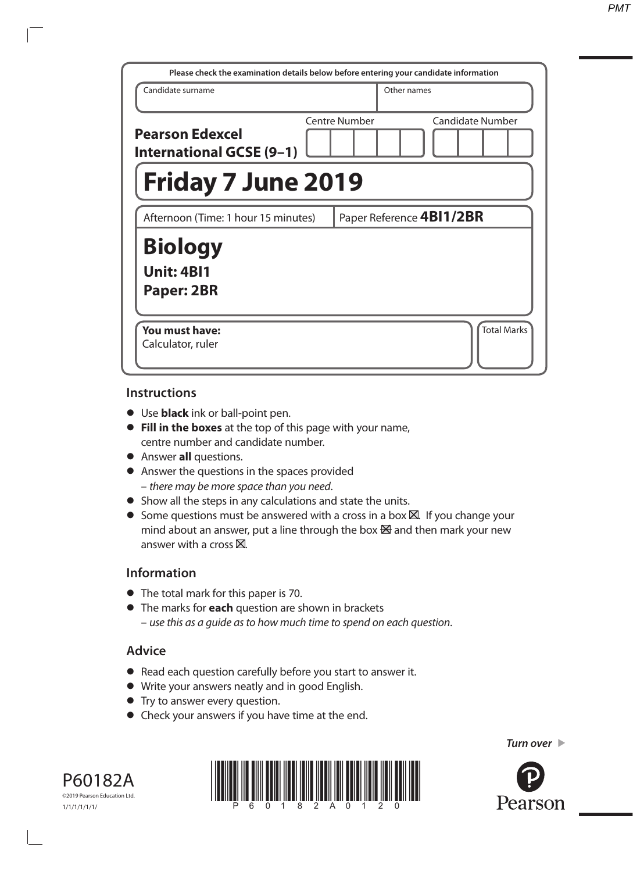|                                     | Please check the examination details below before entering your candidate information |
|-------------------------------------|---------------------------------------------------------------------------------------|
| Candidate surname                   | Other names                                                                           |
|                                     |                                                                                       |
| <b>Pearson Edexcel</b>              | <b>Candidate Number</b><br><b>Centre Number</b>                                       |
| <b>International GCSE (9-1)</b>     |                                                                                       |
|                                     |                                                                                       |
| <b>Friday 7 June 2019</b>           |                                                                                       |
|                                     |                                                                                       |
| Afternoon (Time: 1 hour 15 minutes) | Paper Reference 4B11/2BR                                                              |
| <b>Biology</b>                      |                                                                                       |
|                                     |                                                                                       |
| <b>Unit: 4BI1</b>                   |                                                                                       |
| Paper: 2BR                          |                                                                                       |
|                                     |                                                                                       |
| You must have:                      | <b>Total Marks</b>                                                                    |
| Calculator, ruler                   |                                                                                       |
|                                     |                                                                                       |
|                                     |                                                                                       |

### **Instructions**

- **•** Use **black** ink or ball-point pen.
- **• Fill in the boxes** at the top of this page with your name, centre number and candidate number.
- **•** Answer **all** questions.
- **•** Answer the questions in the spaces provided – *there may be more space than you need*.
- **•** Show all the steps in any calculations and state the units.
- Some questions must be answered with a cross in a box **⊠**. If you change your mind about an answer, put a line through the box  $\mathbb Z$  and then mark your new answer with a cross  $\boxtimes$ .

### **Information**

- **•** The total mark for this paper is 70.
- **•** The marks for **each** question are shown in brackets – *use this as a guide as to how much time to spend on each question*.

## **Advice**

- **•** Read each question carefully before you start to answer it.
- **•** Write your answers neatly and in good English.
- **•** Try to answer every question.
- **•** Check your answers if you have time at the end.





*Turn over* 

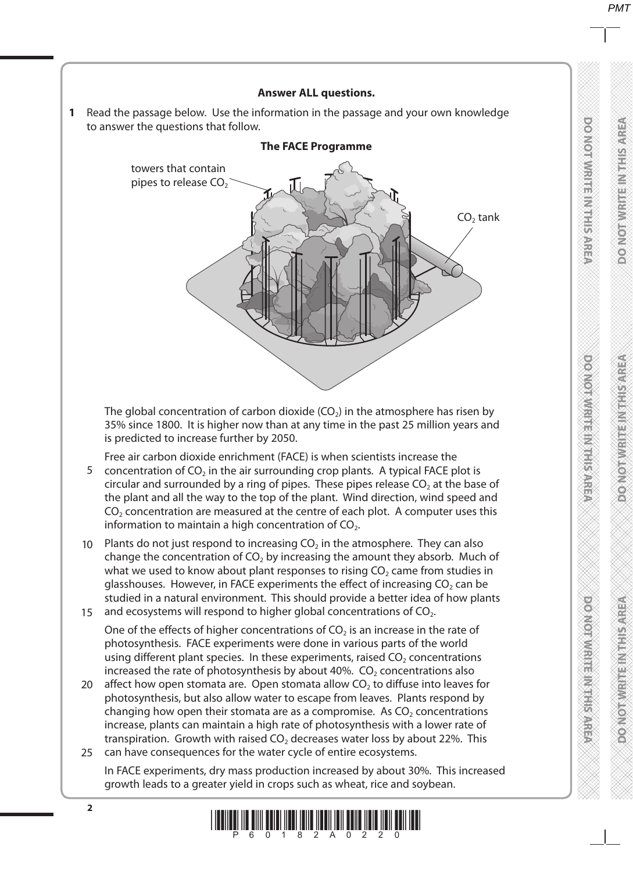**DO NOT WRITE IN THIS AREA DO NOT WRITE IN THIS AREA DO NOT WRITE IN THIS AREA ERRES HUNTER MARGARES** 

**DO NOT WRITE IN THIS AREA** 

**DONOIANT SERVICE STREET** 

**DO NOT WRITE IN THIS AREA**

**CAN ON A REAL PROPERTY AND A** 

**DO NOT WRITE IN THIS AREA**

**ENGINEERING STRUCKS** 

**DONORAN RESERVED** 



35% since 1800. It is higher now than at any time in the past 25 million years and is predicted to increase further by 2050.

Free air carbon dioxide enrichment (FACE) is when scientists increase the

- 5 concentration of  $CO<sub>2</sub>$  in the air surrounding crop plants. A typical FACE plot is circular and surrounded by a ring of pipes. These pipes release  $CO<sub>2</sub>$  at the base of the plant and all the way to the top of the plant. Wind direction, wind speed and  $CO<sub>2</sub>$  concentration are measured at the centre of each plot. A computer uses this information to maintain a high concentration of  $CO<sub>2</sub>$ .
- Plants do not just respond to increasing  $CO<sub>2</sub>$  in the atmosphere. They can also change the concentration of  $CO<sub>2</sub>$  by increasing the amount they absorb. Much of what we used to know about plant responses to rising  $CO<sub>2</sub>$  came from studies in glasshouses. However, in FACE experiments the effect of increasing  $CO<sub>2</sub>$  can be studied in a natural environment. This should provide a better idea of how plants 15 and ecosystems will respond to higher global concentrations of  $CO<sub>2</sub>$ . 10
	- One of the effects of higher concentrations of  $CO<sub>2</sub>$  is an increase in the rate of photosynthesis. FACE experiments were done in various parts of the world using different plant species. In these experiments, raised  $CO<sub>2</sub>$  concentrations increased the rate of photosynthesis by about 40%.  $CO<sub>2</sub>$  concentrations also
- affect how open stomata are. Open stomata allow  $CO<sub>2</sub>$  to diffuse into leaves for photosynthesis, but also allow water to escape from leaves. Plants respond by changing how open their stomata are as a compromise. As  $CO<sub>2</sub>$  concentrations increase, plants can maintain a high rate of photosynthesis with a lower rate of transpiration. Growth with raised  $CO<sub>2</sub>$  decreases water loss by about 22%. This 25 can have consequences for the water cycle of entire ecosystems. 20

 In FACE experiments, dry mass production increased by about 30%. This increased growth leads to a greater yield in crops such as wheat, rice and soybean.



*PMT*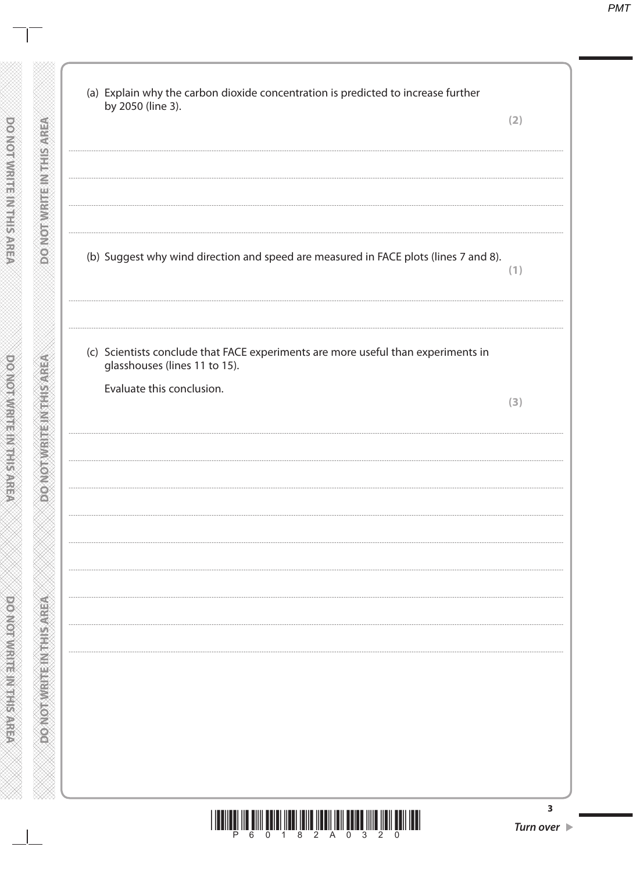| (a) Explain why the carbon dioxide concentration is predicted to increase further<br>by 2050 (line 3).             |     |
|--------------------------------------------------------------------------------------------------------------------|-----|
|                                                                                                                    | (2) |
| (b) Suggest why wind direction and speed are measured in FACE plots (lines 7 and 8).                               | (1) |
| (c) Scientists conclude that FACE experiments are more useful than experiments in<br>glasshouses (lines 11 to 15). |     |
| Evaluate this conclusion.                                                                                          | (3) |
|                                                                                                                    |     |
|                                                                                                                    |     |
|                                                                                                                    |     |
|                                                                                                                    |     |
|                                                                                                                    |     |
|                                                                                                                    |     |

**DO NOTWRITE IN THIS AREA** 

**DONOLMENT HIS NUMBER** 

**DO NOT WRITE IN THIS AREA** 

e di papa di papa di papa di papa di papa di papa di papa di papa di papa di papa di papa di papa di papa di <br>Manazara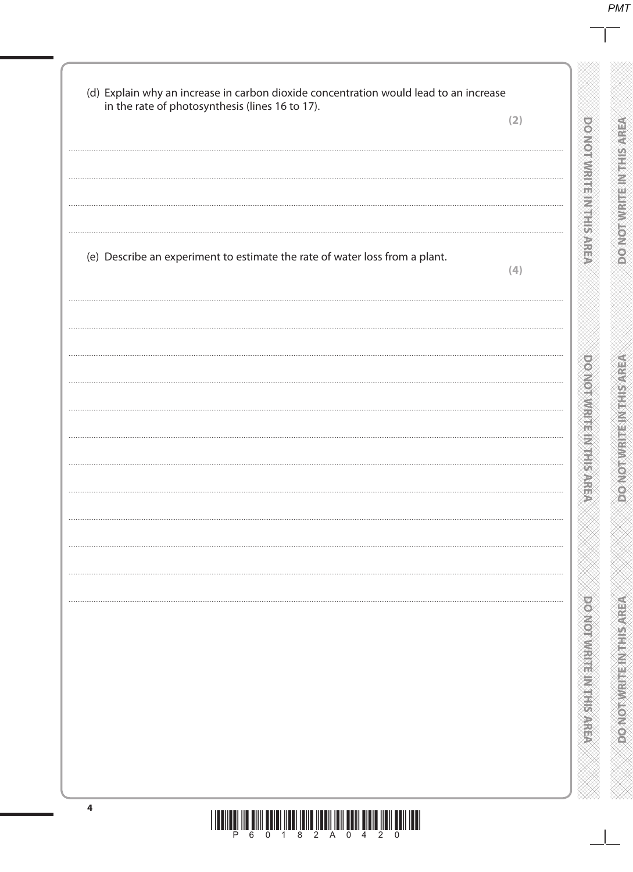| in the rate of photosynthesis (lines 16 to 17).<br>(2)                             | <b>BONOINNER MENDELS</b> | 医院         |
|------------------------------------------------------------------------------------|--------------------------|------------|
| (e) Describe an experiment to estimate the rate of water loss from a plant.<br>(4) |                          |            |
|                                                                                    |                          | E.<br>Gr   |
|                                                                                    | $\ddot{\rm s}$<br>ă      | <b>CON</b> |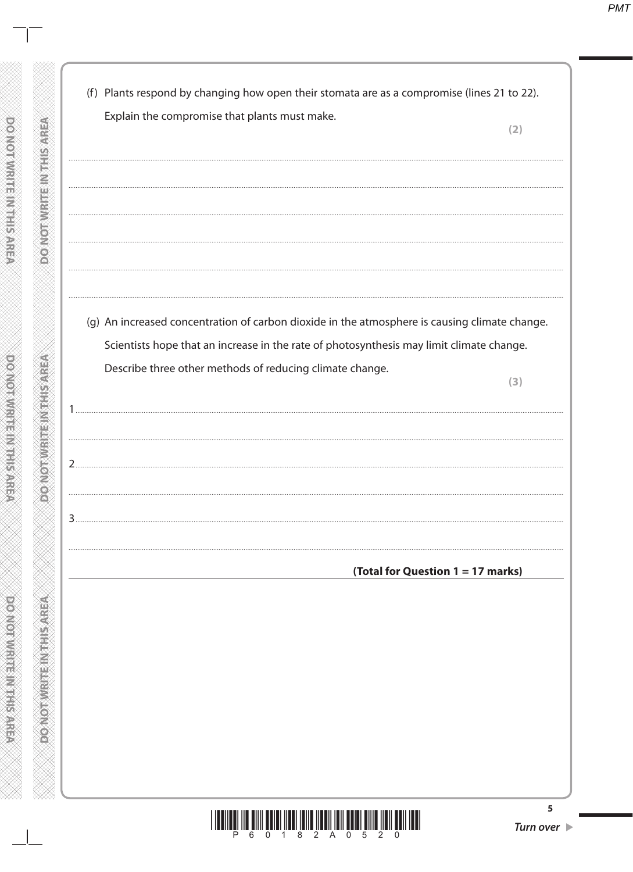|     | Explain the compromise that plants must make.                                                 |                                   |
|-----|-----------------------------------------------------------------------------------------------|-----------------------------------|
|     |                                                                                               | (2)                               |
|     |                                                                                               |                                   |
|     |                                                                                               |                                   |
|     |                                                                                               |                                   |
|     |                                                                                               |                                   |
|     |                                                                                               |                                   |
|     | (g) An increased concentration of carbon dioxide in the atmosphere is causing climate change. |                                   |
|     | Scientists hope that an increase in the rate of photosynthesis may limit climate change.      |                                   |
|     | Describe three other methods of reducing climate change.                                      | (3)                               |
|     |                                                                                               |                                   |
|     |                                                                                               |                                   |
| $2$ |                                                                                               |                                   |
|     |                                                                                               |                                   |
| 3   |                                                                                               |                                   |
|     |                                                                                               |                                   |
|     |                                                                                               | (Total for Question 1 = 17 marks) |
|     |                                                                                               |                                   |
|     |                                                                                               |                                   |
|     |                                                                                               |                                   |
|     |                                                                                               |                                   |
|     |                                                                                               |                                   |
|     |                                                                                               |                                   |
|     |                                                                                               |                                   |
|     |                                                                                               |                                   |

 $\mathbf{1}$ 

DOMOTWRITE IN THIS AREA

DOCKONWRITEINTHIS/AREA

**DOOWNAME IN THIS AREA**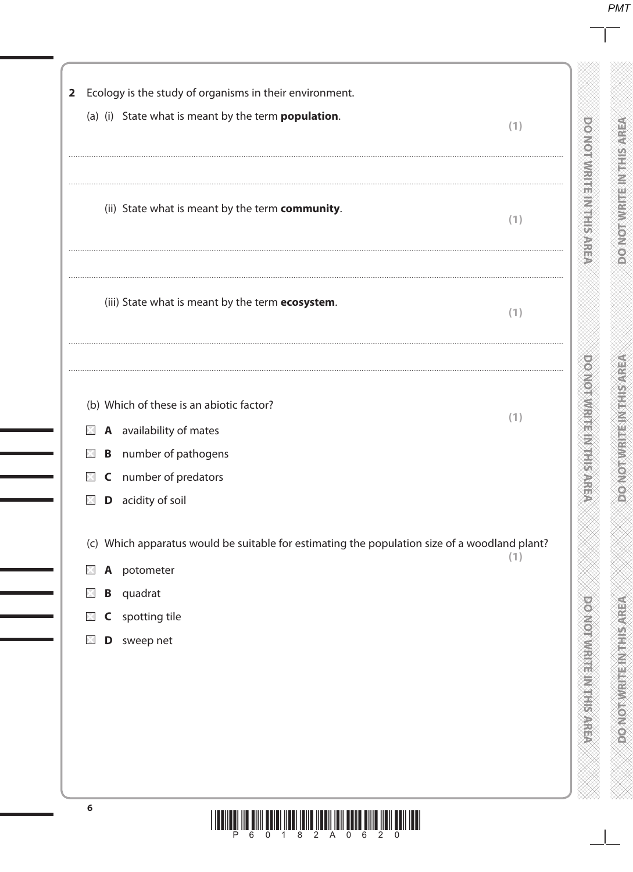|                                  | (a) (i) State what is meant by the term <b>population</b> .                                                                                                             | (1) |                    |
|----------------------------------|-------------------------------------------------------------------------------------------------------------------------------------------------------------------------|-----|--------------------|
|                                  | (ii) State what is meant by the term community.                                                                                                                         | (1) | <b>MOTANRIES M</b> |
|                                  | (iii) State what is meant by the term ecosystem.                                                                                                                        | (1) |                    |
| $\times$<br>$\times$<br>$\times$ | (b) Which of these is an abiotic factor?<br>A availability of mates<br>number of pathogens<br>B<br>number of predators<br>C<br>D<br>acidity of soil                     | (1) |                    |
| $\times$<br>$\times$<br>$\times$ | (c) Which apparatus would be suitable for estimating the population size of a woodland plant?<br>potometer<br>A<br>quadrat<br>B<br>spotting tile<br>C<br>sweep net<br>D | (1) |                    |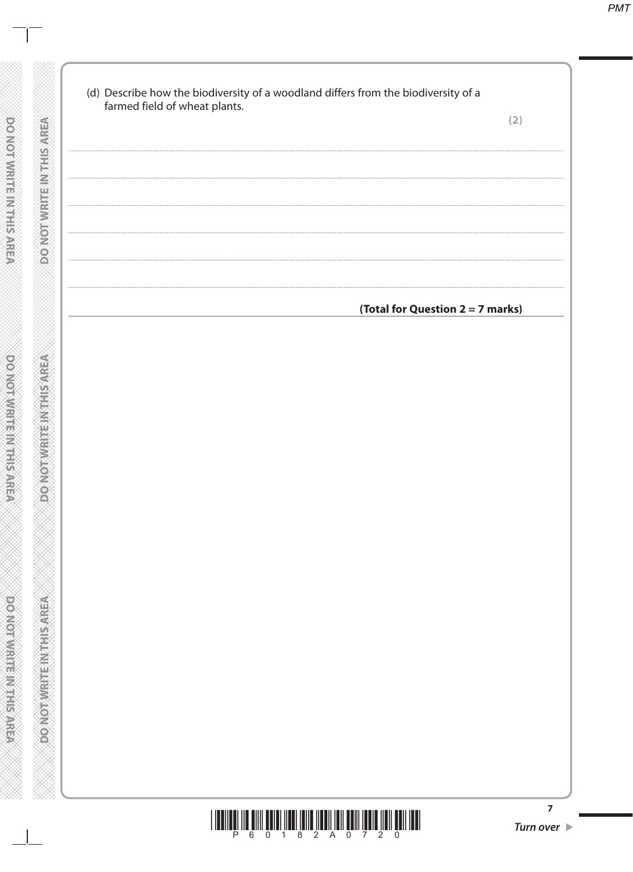| ۹ |  |
|---|--|
|   |  |

|                       | (d) Describe how the biodiversity of a woodland differs from the biodiversity of a<br>farmed field of wheat plants. | (2)                             |
|-----------------------|---------------------------------------------------------------------------------------------------------------------|---------------------------------|
| AREA<br>$\mathcal{D}$ |                                                                                                                     |                                 |
| ùŶ                    |                                                                                                                     |                                 |
|                       |                                                                                                                     |                                 |
|                       |                                                                                                                     |                                 |
|                       | (Total for Question 2 = 7 marks)                                                                                    |                                 |
|                       |                                                                                                                     |                                 |
|                       |                                                                                                                     |                                 |
|                       |                                                                                                                     |                                 |
|                       |                                                                                                                     |                                 |
|                       |                                                                                                                     |                                 |
|                       |                                                                                                                     |                                 |
|                       |                                                                                                                     |                                 |
|                       |                                                                                                                     |                                 |
|                       |                                                                                                                     |                                 |
|                       |                                                                                                                     |                                 |
|                       |                                                                                                                     | $\overline{\mathbf{z}}$         |
|                       |                                                                                                                     | Turn over $\blacktriangleright$ |

DO NOT WRITE IN THIS AREA

DOCINOT WARTER IN THIS AREA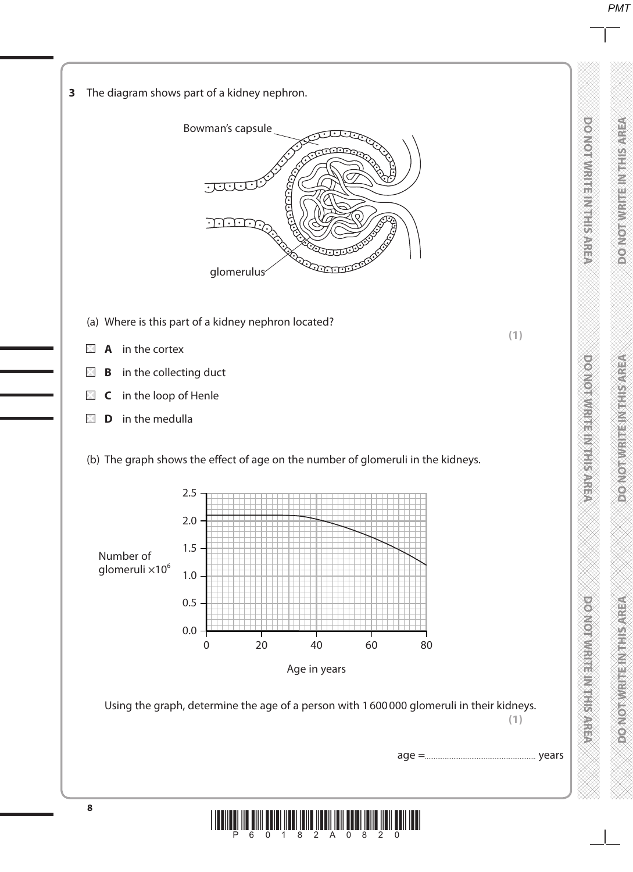**DO NOT WRITE IN THIS AREA** 

**DO NOTWRITEINTHS AREA** 

**DONOINMENTENTISTIS** 

**DO NOT WRITE IN THIS AREA DO NOT WRITE IN THIS AREA DO NOT WRITE IN THIS AREA PORT BETWEEN SERVICES** 

**DO NOT WRITE IN THIS AREA**

**Company of the Property** 

**EXPERIMENT STATES** 

**DO NOT WRITE IN THIS AREA**

**Martan Markasa** 

en<br>Li



**3** The diagram shows part of a kidney nephron.

\*P<sup>6</sup>0 1 8 2 A 0 8 2 0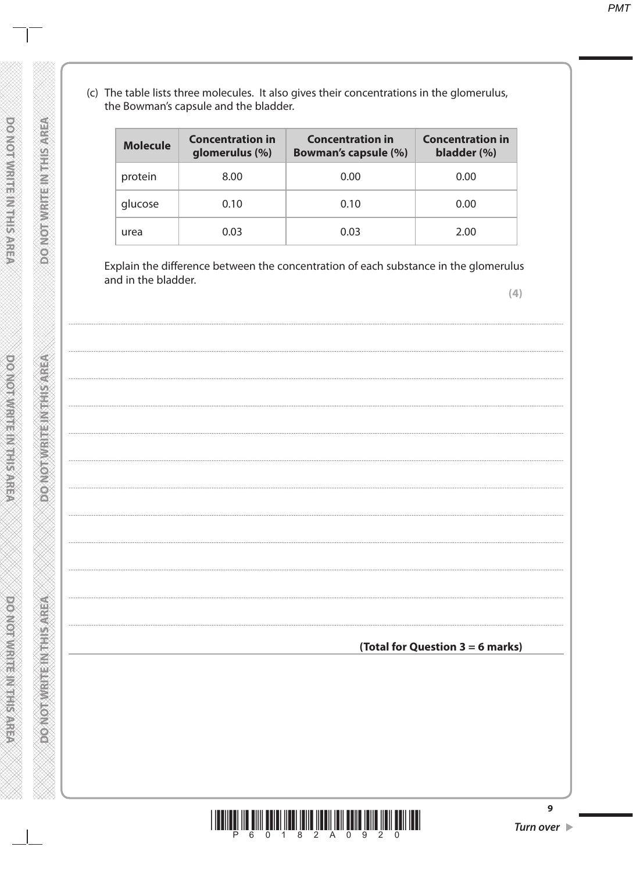(c) The table lists three molecules. It also gives their concentrations in the glomerulus, the Bowman's capsule and the bladder.

| <b>Molecule</b> | <b>Concentration in</b><br>glomerulus (%) | <b>Concentration in</b><br><b>Bowman's capsule (%)</b> | <b>Concentration in</b><br>bladder (%) |
|-----------------|-------------------------------------------|--------------------------------------------------------|----------------------------------------|
| protein         | 8.00                                      | 0.00                                                   | 0.00                                   |
| glucose         | 0.10                                      | 0.10                                                   | 0.00                                   |
| urea            | 0.03                                      | 0.03                                                   | 2.00                                   |

Explain the difference between the concentration of each substance in the glomerulus and in the bladder.

 $(4)$ 

(Total for Question 3 = 6 marks)



 $\mathbf{9}$ 

**DOMOTWRITEINTHISMREA** 

**DOSNOTNIRRIERINES PREER**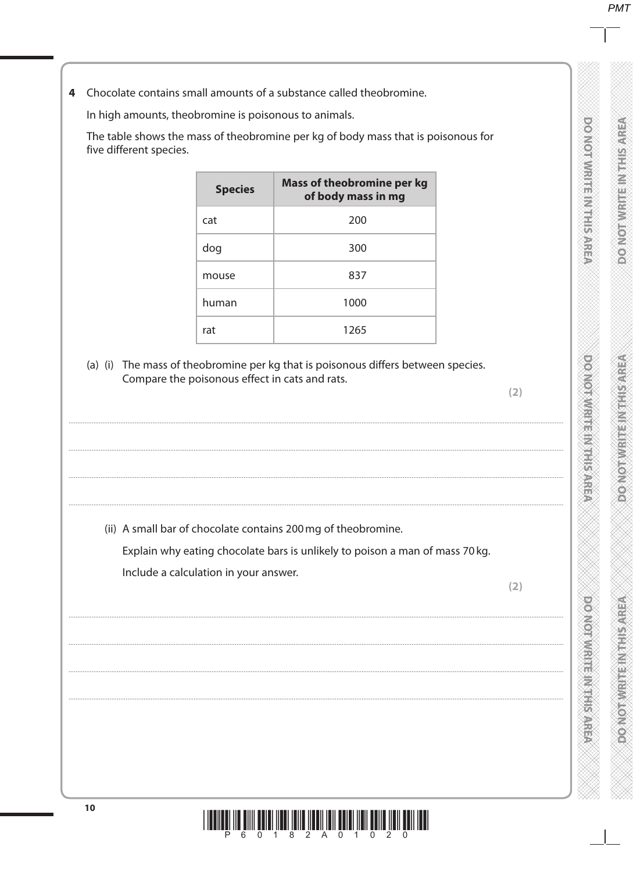4 Chocolate contains small amounts of a substance called theobromine.

In high amounts, theobromine is poisonous to animals.

The table shows the mass of theobromine per kg of body mass that is poisonous for five different species.

| <b>Species</b> | <b>Mass of theobromine per kg</b><br>of body mass in mg |
|----------------|---------------------------------------------------------|
| cat            | 200                                                     |
| dog            | 300                                                     |
| mouse          | 837                                                     |
| human          | 1000                                                    |
| rat            | 1265                                                    |

(a) (i) The mass of theobromine per kg that is poisonous differs between species. Compare the poisonous effect in cats and rats.

(ii) A small bar of chocolate contains 200 mg of theobromine.

Include a calculation in your answer.

Explain why eating chocolate bars is unlikely to poison a man of mass 70 kg.

 $(2)$ 

 $(2)$ 

**CONSTRUCTION** 医无形

**PO NOTHER TERRITORIO** 

**CONGRESS FRAME RESIDENCE** 

**PONOTAWETH NATISARE** 

**EXPERIMENT STATES** 

**MARINE AND SEARCH** 

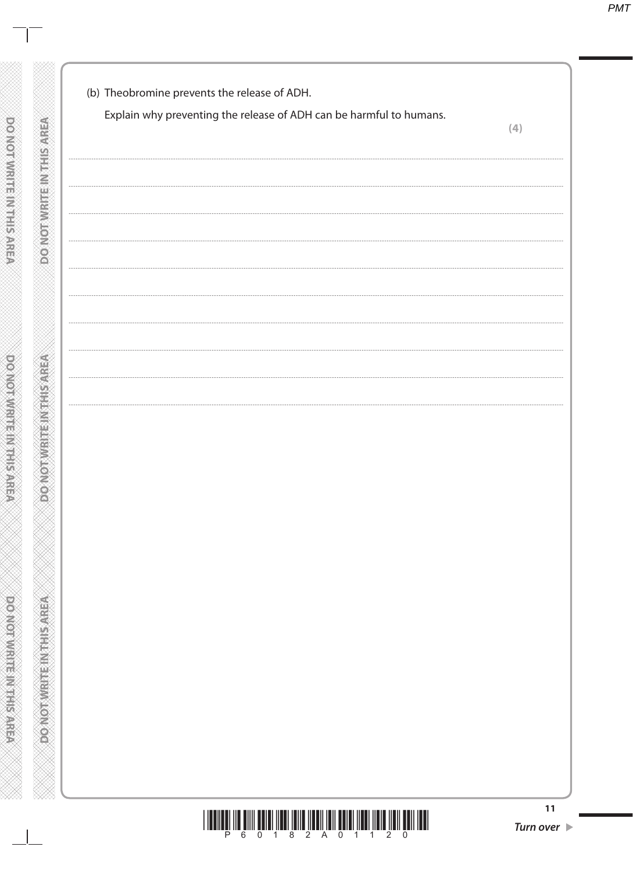|                   | (b) Theobromine prevents the release of ADH.<br>Explain why preventing the release of ADH can be harmful to humans. |                                       |
|-------------------|---------------------------------------------------------------------------------------------------------------------|---------------------------------------|
| <b>HESANGER</b>   |                                                                                                                     | (4)                                   |
| <b>DONOIRVIER</b> |                                                                                                                     |                                       |
|                   |                                                                                                                     |                                       |
|                   |                                                                                                                     |                                       |
|                   |                                                                                                                     |                                       |
| û                 |                                                                                                                     |                                       |
|                   |                                                                                                                     |                                       |
|                   |                                                                                                                     |                                       |
|                   |                                                                                                                     |                                       |
|                   |                                                                                                                     |                                       |
|                   |                                                                                                                     |                                       |
|                   |                                                                                                                     |                                       |
|                   |                                                                                                                     |                                       |
|                   | IIIII<br>P.<br>$\overline{6}$<br>$\overline{0}$                                                                     | 11<br>Turn over $\blacktriangleright$ |

DO NOT WRITE IN THIS AREA

DOO NOT WRITEE IN THIS AREA

**DOMOTWRITEINTRIPAREA** 

e di parti di parti di parti di parti di parti di parti di parti di parti dal la di parti di parti di parti d<br>Parti di parti di parti di parti di parti di parti di parti di parti di parti di parti di parti di parti di pa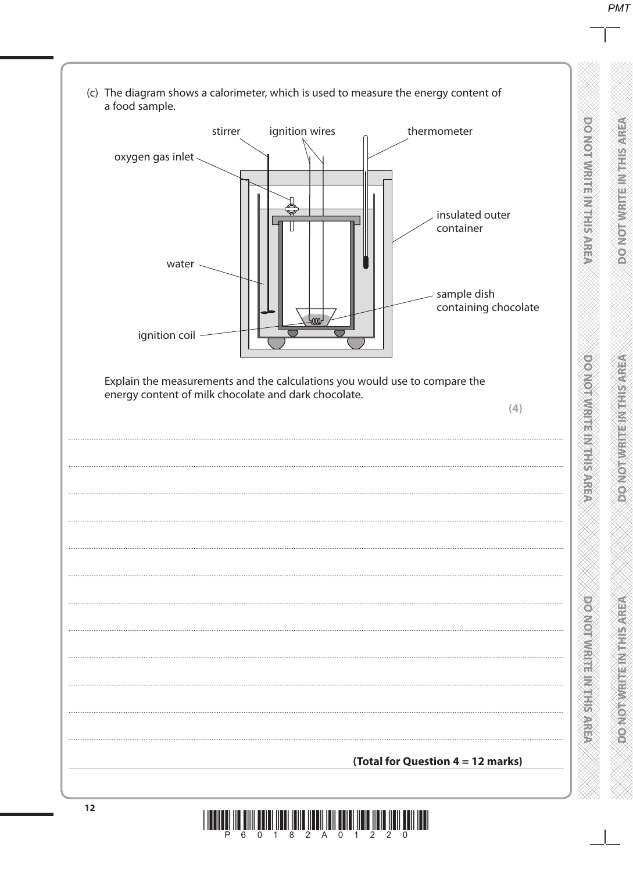

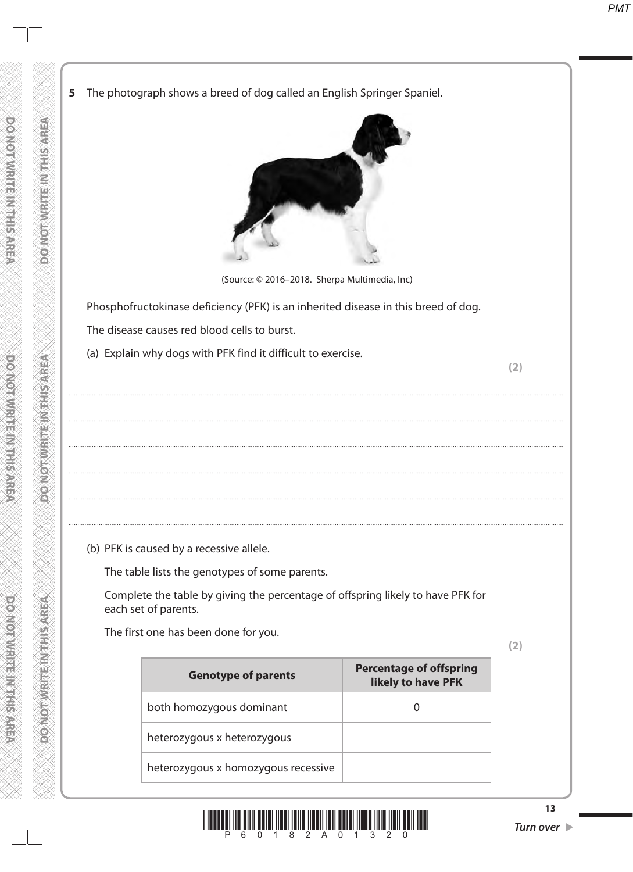The photograph shows a breed of dog called an English Springer Spaniel. 5



(Source: © 2016-2018. Sherpa Multimedia, Inc)

Phosphofructokinase deficiency (PFK) is an inherited disease in this breed of dog.

The disease causes red blood cells to burst.

(a) Explain why dogs with PFK find it difficult to exercise.

 $(2)$ 

(b) PFK is caused by a recessive allele.

The table lists the genotypes of some parents.

Complete the table by giving the percentage of offspring likely to have PFK for each set of parents.

The first one has been done for you.

 $(2)$ 

| <b>Genotype of parents</b>          | <b>Percentage of offspring</b><br><b>likely to have PFK</b> |
|-------------------------------------|-------------------------------------------------------------|
| both homozygous dominant            |                                                             |
| heterozygous x heterozygous         |                                                             |
| heterozygous x homozygous recessive |                                                             |
|                                     |                                                             |



**DO NOTIVIALE NITHS AREA** 

**OCNORWRITERING BOARE** 

r)<br>K

Ĉ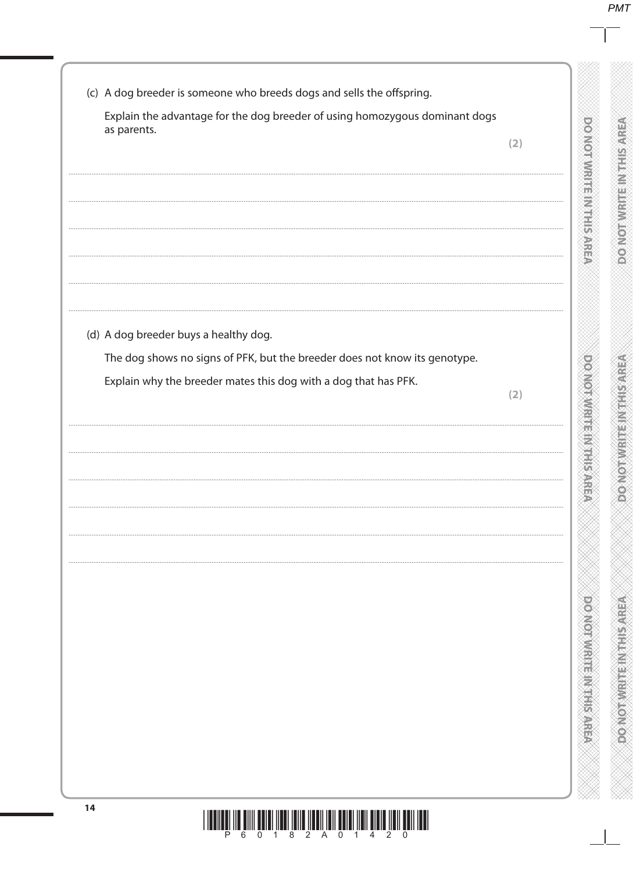| Explain the advantage for the dog breeder of using homozygous dominant dogs<br>as parents. |     |                             |
|--------------------------------------------------------------------------------------------|-----|-----------------------------|
|                                                                                            | (2) |                             |
|                                                                                            |     |                             |
|                                                                                            |     |                             |
|                                                                                            |     | <b>Morwirist Buyer SARE</b> |
|                                                                                            |     |                             |
|                                                                                            |     |                             |
| (d) A dog breeder buys a healthy dog.                                                      |     |                             |
| The dog shows no signs of PFK, but the breeder does not know its genotype.                 |     |                             |
| Explain why the breeder mates this dog with a dog that has PFK.                            |     |                             |
|                                                                                            | (2) |                             |
|                                                                                            |     |                             |
|                                                                                            |     |                             |
|                                                                                            |     |                             |
|                                                                                            |     |                             |
|                                                                                            |     |                             |
|                                                                                            |     |                             |
|                                                                                            |     |                             |
|                                                                                            |     |                             |
|                                                                                            |     |                             |
|                                                                                            |     |                             |
|                                                                                            |     |                             |
|                                                                                            |     |                             |
|                                                                                            |     |                             |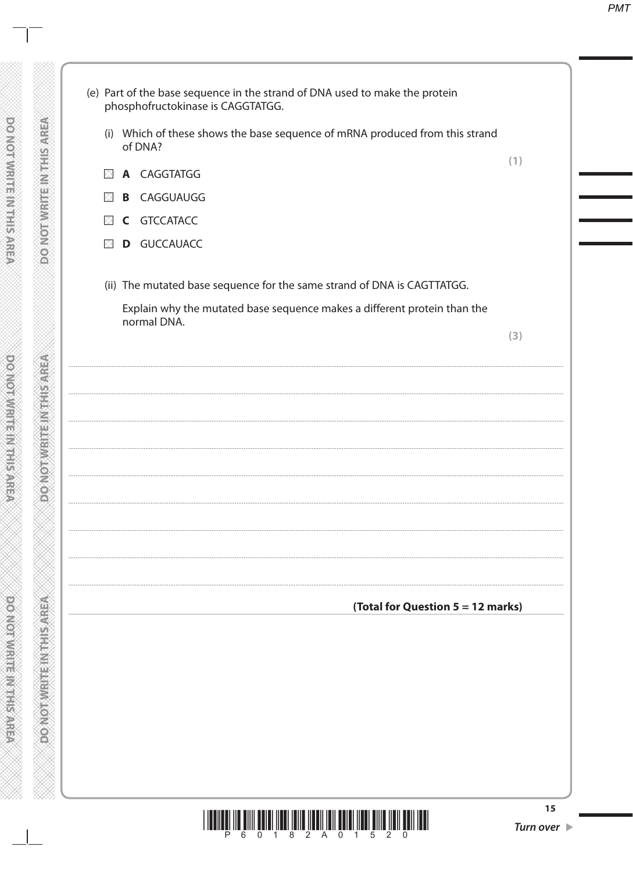المستحق

المستحق

|                          | (Total for Question 5 = 12 marks)                                                                                                                                  |     |
|--------------------------|--------------------------------------------------------------------------------------------------------------------------------------------------------------------|-----|
|                          |                                                                                                                                                                    |     |
|                          |                                                                                                                                                                    |     |
|                          |                                                                                                                                                                    |     |
|                          |                                                                                                                                                                    | (3) |
|                          | (ii) The mutated base sequence for the same strand of DNA is CAGTTATGG.<br>Explain why the mutated base sequence makes a different protein than the<br>normal DNA. |     |
|                          | <b>D</b> GUCCAUACC                                                                                                                                                 |     |
| $\mathbb{X}$<br>$\times$ | <b>B</b> CAGGUAUGG<br><b>C</b> GTCCATACC                                                                                                                           |     |
| $\times$                 | A CAGGTATGG                                                                                                                                                        |     |
|                          | (i) Which of these shows the base sequence of mRNA produced from this strand<br>of DNA?                                                                            |     |
|                          |                                                                                                                                                                    | (1) |

DO NOT WRITE IN THIS AREA

**DO NOT WRITE IN THIS AREA** 

**PONOTWATE INTHIS AREA** 

**DONOTWRITEINTHIS AREA** 

concrete in the presence.

**DOMOTIVIES IN THE REAL PRESS**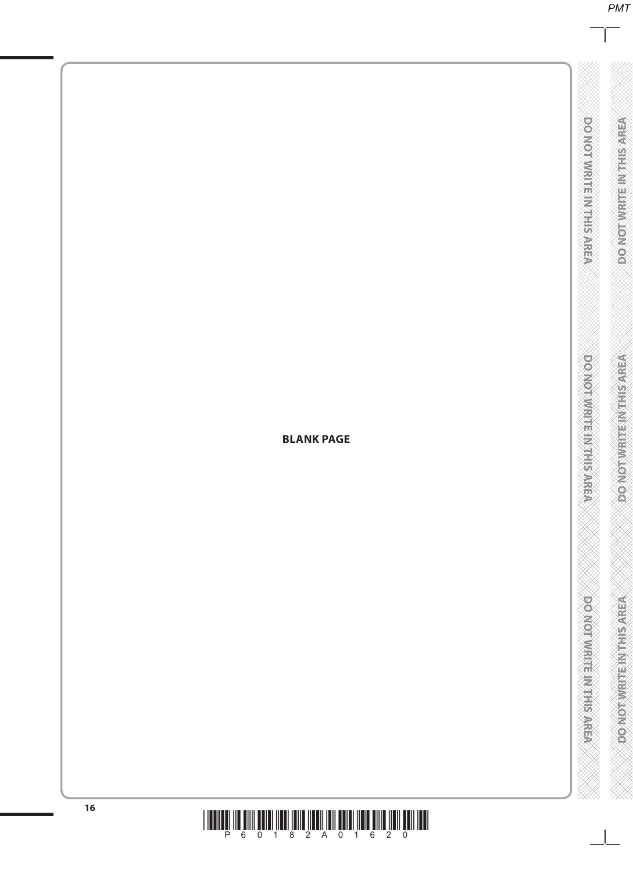**DO NOT WRITE INTHIS AREA** 

## **BLANK PAGE**

**DO NOT WRITE IN THIS AREA** 

**DO NOT WRITE IN THIS AREA** 

DO NOT WRITE IN THIS AREA

**DO NOT WRITE IN THIS AREA**

**DOMOTIVISTISTISTISTIST** 

**DO NOT WRITE IN THIS AREA DO NOT WRITE IN THIS AREA DO NOT WRITE IN THIS AREA**

**DONOTWERE NITHS AREA**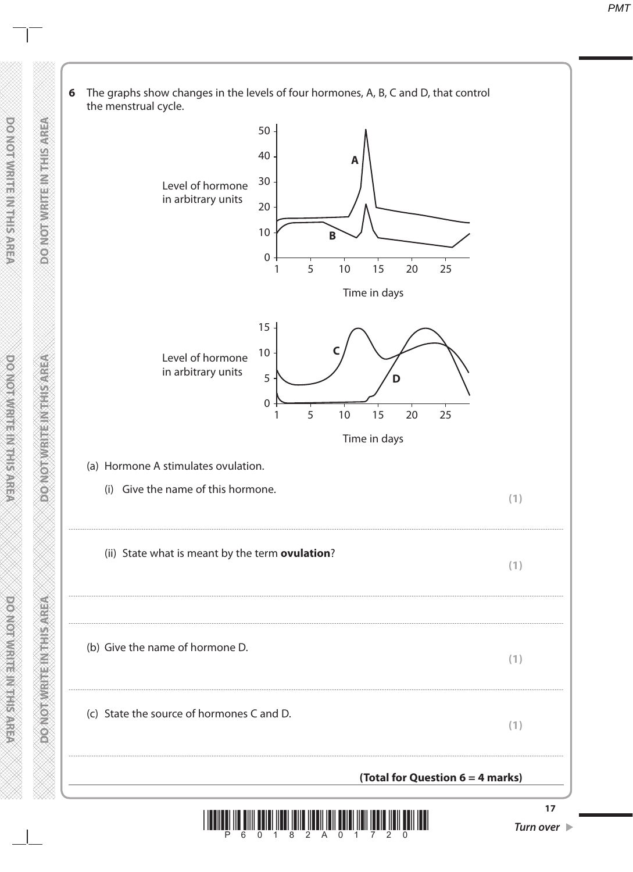

**DO NOTIVIALE NITHS AREA** 

É 蚤

ő

Ô<br>Q

É. Ø 需

Ź

 $\widetilde{\mathbf{p}}$  $\overline{\mathbf{C}}$ 

Ò

 $\frac{1}{2}$ 

**DOMORATION SERVERS IS A LESS** 

**ON OT WIRTH THE INTERNET** 

**DO NOT WRITE IN THIS AREA** 

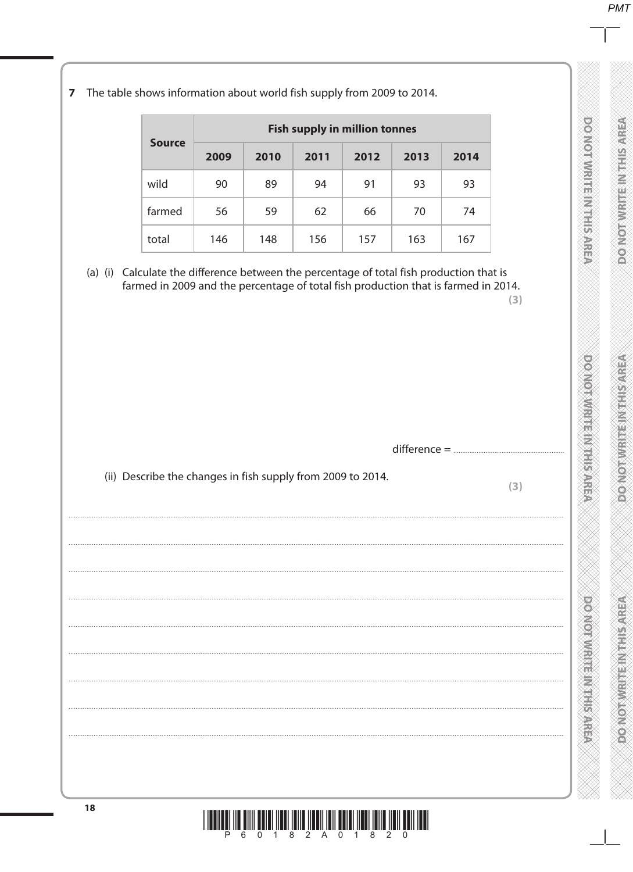7 The table shows information about world fish supply from 2009 to 2014. **Fish supply in million tonnes Source** 2010 2011 2012 2013 2009 2014 93 wild 93 90 89 94 91 farmed 56 59 62 66 70 74 total 146 148 156 157 163 167 (a) (i) Calculate the difference between the percentage of total fish production that is farmed in 2009 and the percentage of total fish production that is farmed in 2014.  $(3)$ (ii) Describe the changes in fish supply from 2009 to 2014.  $(3)$ 

**DONOTAWRIE INTERNATION** 

**DO NOTWRITEINTH SWITCH** 

**DOMORWER INTERNATION** 

**FOXOR MARK STAR OVOGE** 

**PONDED MARKET MARKET STATE** 

**DOMORWICHELLAND SARE** 

# 6 0 1 8 2 A 0 1 8 2 0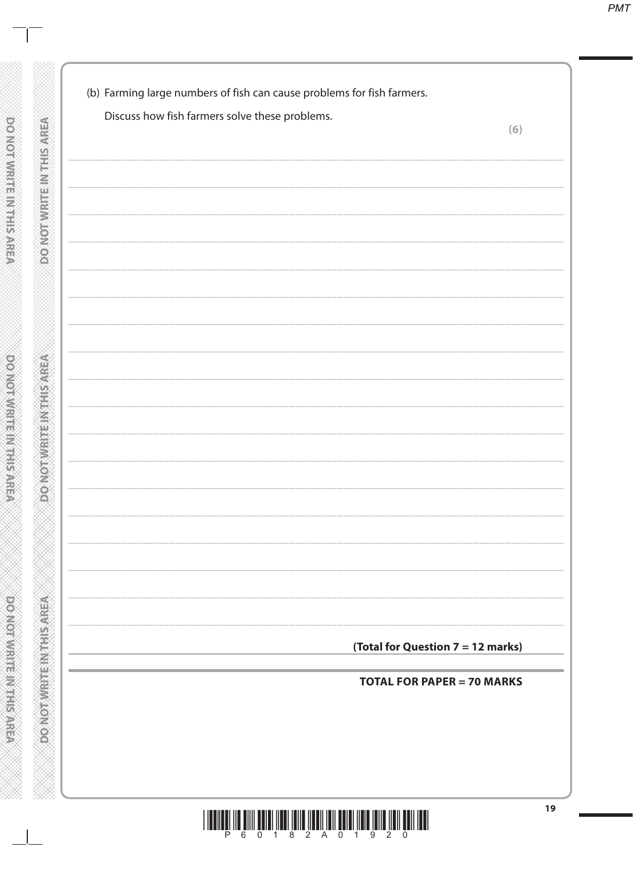| Discuss how fish farmers solve these problems. |                                   |
|------------------------------------------------|-----------------------------------|
|                                                | (6)                               |
|                                                |                                   |
|                                                |                                   |
|                                                |                                   |
|                                                |                                   |
|                                                |                                   |
|                                                |                                   |
|                                                |                                   |
|                                                |                                   |
|                                                |                                   |
|                                                |                                   |
|                                                |                                   |
|                                                |                                   |
|                                                |                                   |
|                                                |                                   |
|                                                |                                   |
|                                                |                                   |
|                                                |                                   |
|                                                |                                   |
|                                                |                                   |
|                                                |                                   |
|                                                |                                   |
|                                                |                                   |
|                                                |                                   |
|                                                | (Total for Question 7 = 12 marks) |
|                                                | <b>TOTAL FOR PAPER = 70 MARKS</b> |
|                                                |                                   |
|                                                |                                   |
|                                                |                                   |
|                                                |                                   |
|                                                |                                   |
|                                                |                                   |

DONOTWRITE IN THIS AREA

**DOMOTIVIER INTERNATION** 

**PONDTWRITERMITTER** 

▒